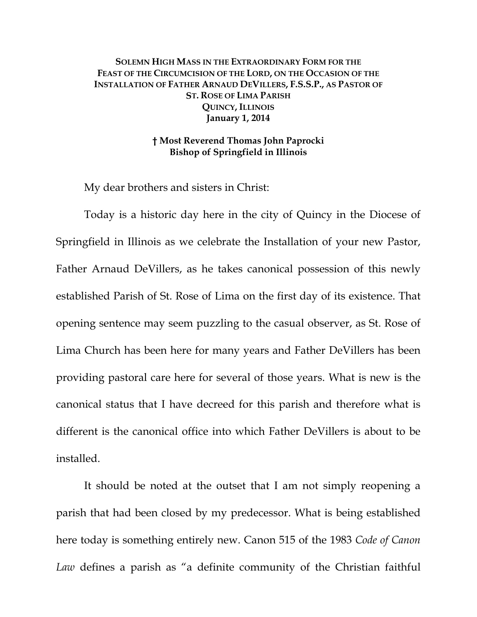## **SOLEMN HIGH MASS IN THE EXTRAORDINARY FORM FOR THE FEAST OF THE CIRCUMCISION OF THE LORD, ON THE OCCASION OF THE INSTALLATION OF FATHER ARNAUD DEVILLERS, F.S.S.P., AS PASTOR OF ST. ROSE OF LIMA PARISH QUINCY, ILLINOIS January 1, 2014**

## **† Most Reverend Thomas John Paprocki Bishop of Springfield in Illinois**

My dear brothers and sisters in Christ:

 Today is a historic day here in the city of Quincy in the Diocese of Springfield in Illinois as we celebrate the Installation of your new Pastor, Father Arnaud DeVillers, as he takes canonical possession of this newly established Parish of St. Rose of Lima on the first day of its existence. That opening sentence may seem puzzling to the casual observer, as St. Rose of Lima Church has been here for many years and Father DeVillers has been providing pastoral care here for several of those years. What is new is the canonical status that I have decreed for this parish and therefore what is different is the canonical office into which Father DeVillers is about to be installed.

 It should be noted at the outset that I am not simply reopening a parish that had been closed by my predecessor. What is being established here today is something entirely new. Canon 515 of the 1983 *Code of Canon Law* defines a parish as "a definite community of the Christian faithful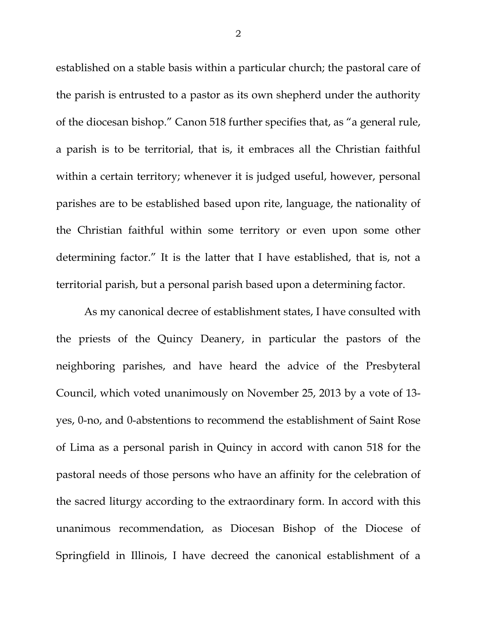established on a stable basis within a particular church; the pastoral care of the parish is entrusted to a pastor as its own shepherd under the authority of the diocesan bishop." Canon 518 further specifies that, as "a general rule, a parish is to be territorial, that is, it embraces all the Christian faithful within a certain territory; whenever it is judged useful, however, personal parishes are to be established based upon rite, language, the nationality of the Christian faithful within some territory or even upon some other determining factor." It is the latter that I have established, that is, not a territorial parish, but a personal parish based upon a determining factor.

 As my canonical decree of establishment states, I have consulted with the priests of the Quincy Deanery, in particular the pastors of the neighboring parishes, and have heard the advice of the Presbyteral Council, which voted unanimously on November 25, 2013 by a vote of 13 yes, 0-no, and 0-abstentions to recommend the establishment of Saint Rose of Lima as a personal parish in Quincy in accord with canon 518 for the pastoral needs of those persons who have an affinity for the celebration of the sacred liturgy according to the extraordinary form. In accord with this unanimous recommendation, as Diocesan Bishop of the Diocese of Springfield in Illinois, I have decreed the canonical establishment of a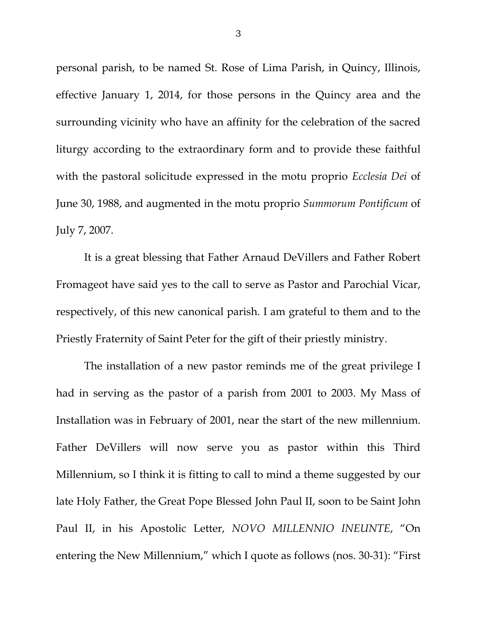personal parish, to be named St. Rose of Lima Parish, in Quincy, Illinois, effective January 1, 2014, for those persons in the Quincy area and the surrounding vicinity who have an affinity for the celebration of the sacred liturgy according to the extraordinary form and to provide these faithful with the pastoral solicitude expressed in the motu proprio *Ecclesia Dei* of June 30, 1988, and augmented in the motu proprio *Summorum Pontificum* of July 7, 2007.

 It is a great blessing that Father Arnaud DeVillers and Father Robert Fromageot have said yes to the call to serve as Pastor and Parochial Vicar, respectively, of this new canonical parish. I am grateful to them and to the Priestly Fraternity of Saint Peter for the gift of their priestly ministry.

The installation of a new pastor reminds me of the great privilege I had in serving as the pastor of a parish from 2001 to 2003. My Mass of Installation was in February of 2001, near the start of the new millennium. Father DeVillers will now serve you as pastor within this Third Millennium, so I think it is fitting to call to mind a theme suggested by our late Holy Father, the Great Pope Blessed John Paul II, soon to be Saint John Paul II, in his Apostolic Letter, *NOVO MILLENNIO INEUNTE*, "On entering the New Millennium," which I quote as follows (nos. 30-31): "First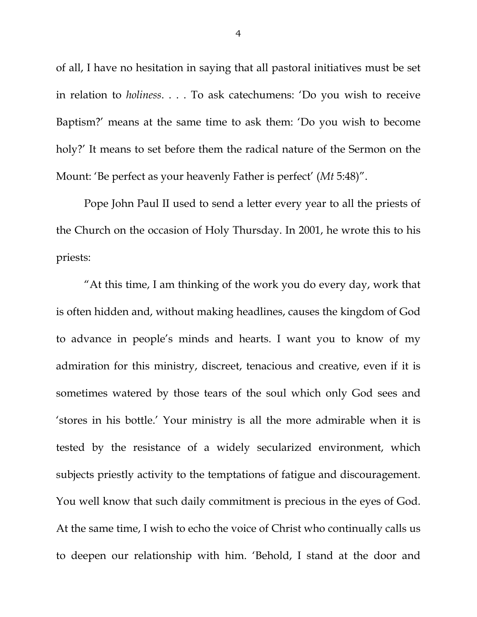of all, I have no hesitation in saying that all pastoral initiatives must be set in relation to *holiness*. . . . To ask catechumens: 'Do you wish to receive Baptism?' means at the same time to ask them: 'Do you wish to become holy?' It means to set before them the radical nature of the Sermon on the Mount: 'Be perfect as your heavenly Father is perfect' (*Mt* 5:48)".

Pope John Paul II used to send a letter every year to all the priests of the Church on the occasion of Holy Thursday. In 2001, he wrote this to his priests:

"At this time, I am thinking of the work you do every day, work that is often hidden and, without making headlines, causes the kingdom of God to advance in people's minds and hearts. I want you to know of my admiration for this ministry, discreet, tenacious and creative, even if it is sometimes watered by those tears of the soul which only God sees and 'stores in his bottle.' Your ministry is all the more admirable when it is tested by the resistance of a widely secularized environment, which subjects priestly activity to the temptations of fatigue and discouragement. You well know that such daily commitment is precious in the eyes of God. At the same time, I wish to echo the voice of Christ who continually calls us to deepen our relationship with him. 'Behold, I stand at the door and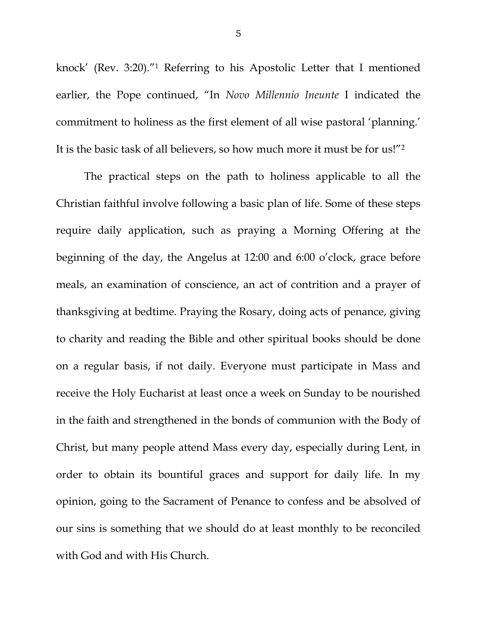knock' (Rev. 3:20)."1 Referring to his Apostolic Letter that I mentioned earlier, the Pope continued, "In *Novo Millennio Ineunte* I indicated the commitment to holiness as the first element of all wise pastoral 'planning.' It is the basic task of all believers, so how much more it must be for us!"2

 The practical steps on the path to holiness applicable to all the Christian faithful involve following a basic plan of life. Some of these steps require daily application, such as praying a Morning Offering at the beginning of the day, the Angelus at 12:00 and 6:00 o'clock, grace before meals, an examination of conscience, an act of contrition and a prayer of thanksgiving at bedtime. Praying the Rosary, doing acts of penance, giving to charity and reading the Bible and other spiritual books should be done on a regular basis, if not daily. Everyone must participate in Mass and receive the Holy Eucharist at least once a week on Sunday to be nourished in the faith and strengthened in the bonds of communion with the Body of Christ, but many people attend Mass every day, especially during Lent, in order to obtain its bountiful graces and support for daily life. In my opinion, going to the Sacrament of Penance to confess and be absolved of our sins is something that we should do at least monthly to be reconciled with God and with His Church.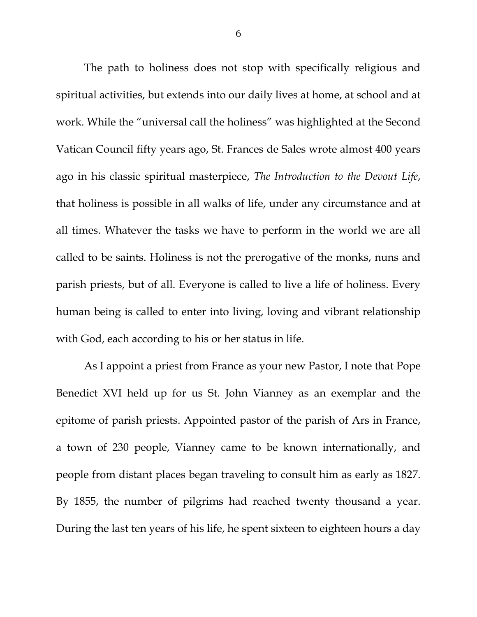The path to holiness does not stop with specifically religious and spiritual activities, but extends into our daily lives at home, at school and at work. While the "universal call the holiness" was highlighted at the Second Vatican Council fifty years ago, St. Frances de Sales wrote almost 400 years ago in his classic spiritual masterpiece, *The Introduction to the Devout Life*, that holiness is possible in all walks of life, under any circumstance and at all times. Whatever the tasks we have to perform in the world we are all called to be saints. Holiness is not the prerogative of the monks, nuns and parish priests, but of all. Everyone is called to live a life of holiness. Every human being is called to enter into living, loving and vibrant relationship with God, each according to his or her status in life.

As I appoint a priest from France as your new Pastor, I note that Pope Benedict XVI held up for us St. John Vianney as an exemplar and the epitome of parish priests. Appointed pastor of the parish of Ars in France, a town of 230 people, Vianney came to be known internationally, and people from distant places began traveling to consult him as early as 1827. By 1855, the number of pilgrims had reached twenty thousand a year. During the last ten years of his life, he spent sixteen to eighteen hours a day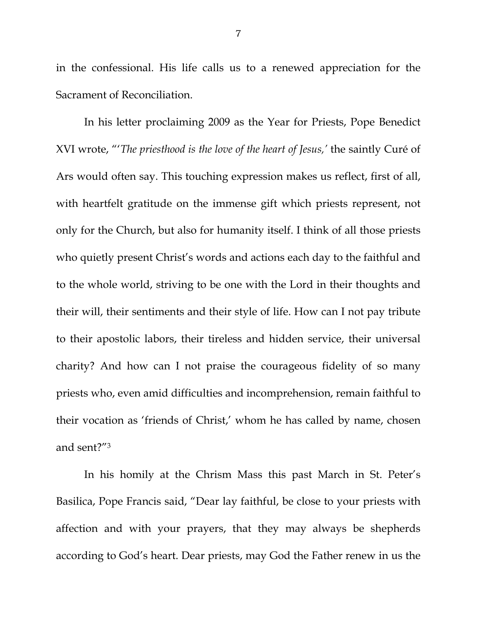in the confessional. His life calls us to a renewed appreciation for the Sacrament of Reconciliation.

In his letter proclaiming 2009 as the Year for Priests, Pope Benedict XVI wrote, "'*The priesthood is the love of the heart of Jesus,'* the saintly Curé of Ars would often say. This touching expression makes us reflect, first of all, with heartfelt gratitude on the immense gift which priests represent, not only for the Church, but also for humanity itself. I think of all those priests who quietly present Christ's words and actions each day to the faithful and to the whole world, striving to be one with the Lord in their thoughts and their will, their sentiments and their style of life. How can I not pay tribute to their apostolic labors, their tireless and hidden service, their universal charity? And how can I not praise the courageous fidelity of so many priests who, even amid difficulties and incomprehension, remain faithful to their vocation as 'friends of Christ,' whom he has called by name, chosen and sent?"3

In his homily at the Chrism Mass this past March in St. Peter's Basilica, Pope Francis said, "Dear lay faithful, be close to your priests with affection and with your prayers, that they may always be shepherds according to God's heart. Dear priests, may God the Father renew in us the